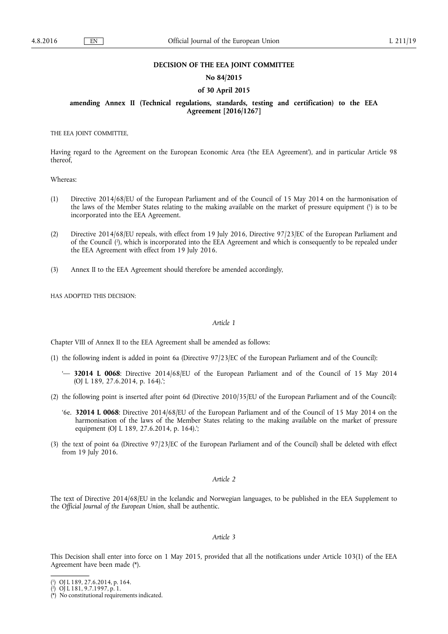## **DECISION OF THE EEA JOINT COMMITTEE**

## **No 84/2015**

## **of 30 April 2015**

## **amending Annex II (Technical regulations, standards, testing and certification) to the EEA Agreement [2016/1267]**

THE EEA JOINT COMMITTEE,

Having regard to the Agreement on the European Economic Area ('the EEA Agreement'), and in particular Article 98 thereof,

Whereas:

- (1) Directive 2014/68/EU of the European Parliament and of the Council of 15 May 2014 on the harmonisation of the laws of the Member States relating to the making available on the market of pressure equipment ( 1 ) is to be incorporated into the EEA Agreement.
- (2) Directive 2014/68/EU repeals, with effect from 19 July 2016, Directive 97/23/EC of the European Parliament and of the Council ( 2 ), which is incorporated into the EEA Agreement and which is consequently to be repealed under the EEA Agreement with effect from 19 July 2016.
- (3) Annex II to the EEA Agreement should therefore be amended accordingly,

HAS ADOPTED THIS DECISION:

#### *Article 1*

Chapter VIII of Annex II to the EEA Agreement shall be amended as follows:

- (1) the following indent is added in point 6a (Directive 97/23/EC of the European Parliament and of the Council):
	- '— **32014 L 0068**: Directive 2014/68/EU of the European Parliament and of the Council of 15 May 2014 (OJ L 189, 27.6.2014, p. 164).';
- (2) the following point is inserted after point 6d (Directive 2010/35/EU of the European Parliament and of the Council):
	- '6e. **32014 L 0068**: Directive 2014/68/EU of the European Parliament and of the Council of 15 May 2014 on the harmonisation of the laws of the Member States relating to the making available on the market of pressure equipment (OJ L 189, 27.6.2014, p. 164).';
- (3) the text of point 6a (Directive 97/23/EC of the European Parliament and of the Council) shall be deleted with effect from 19 July 2016.

## *Article 2*

The text of Directive 2014/68/EU in the Icelandic and Norwegian languages, to be published in the EEA Supplement to the *Official Journal of the European Union*, shall be authentic.

## *Article 3*

This Decision shall enter into force on 1 May 2015, provided that all the notifications under Article 103(1) of the EEA Agreement have been made (\*).

<sup>(</sup> 1 ) OJ L 189, 27.6.2014, p. 164.

<sup>(</sup> 2 ) OJ L 181, 9.7.1997, p. 1.

<sup>(\*)</sup> No constitutional requirements indicated.